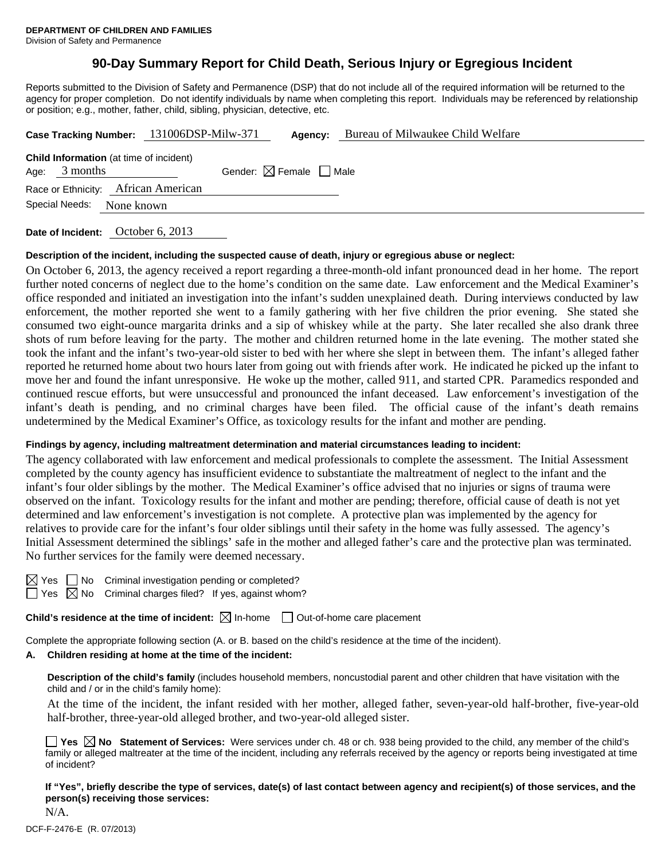# **90-Day Summary Report for Child Death, Serious Injury or Egregious Incident**

Reports submitted to the Division of Safety and Permanence (DSP) that do not include all of the required information will be returned to the agency for proper completion. Do not identify individuals by name when completing this report. Individuals may be referenced by relationship or position; e.g., mother, father, child, sibling, physician, detective, etc.

|      |                |                                                | Case Tracking Number: 131006DSP-Milw-371 | Agency:                                | Bureau of Milwaukee Child Welfare |
|------|----------------|------------------------------------------------|------------------------------------------|----------------------------------------|-----------------------------------|
| Age: | 3 months       | <b>Child Information</b> (at time of incident) |                                          | Gender: $\boxtimes$ Female $\Box$ Male |                                   |
|      |                | Race or Ethnicity: African American            |                                          |                                        |                                   |
|      | Special Needs: | None known                                     |                                          |                                        |                                   |
|      |                |                                                |                                          |                                        |                                   |

**Date of Incident:** October 6, 2013

### **Description of the incident, including the suspected cause of death, injury or egregious abuse or neglect:**

On October 6, 2013, the agency received a report regarding a three-month-old infant pronounced dead in her home. The report further noted concerns of neglect due to the home's condition on the same date. Law enforcement and the Medical Examiner's office responded and initiated an investigation into the infant's sudden unexplained death. During interviews conducted by law enforcement, the mother reported she went to a family gathering with her five children the prior evening. She stated she consumed two eight-ounce margarita drinks and a sip of whiskey while at the party. She later recalled she also drank three shots of rum before leaving for the party. The mother and children returned home in the late evening. The mother stated she took the infant and the infant's two-year-old sister to bed with her where she slept in between them. The infant's alleged father reported he returned home about two hours later from going out with friends after work. He indicated he picked up the infant to move her and found the infant unresponsive. He woke up the mother, called 911, and started CPR. Paramedics responded and continued rescue efforts, but were unsuccessful and pronounced the infant deceased. Law enforcement's investigation of the infant's death is pending, and no criminal charges have been filed. The official cause of the infant's death remains undetermined by the Medical Examiner's Office, as toxicology results for the infant and mother are pending.

### **Findings by agency, including maltreatment determination and material circumstances leading to incident:**

The agency collaborated with law enforcement and medical professionals to complete the assessment. The Initial Assessment completed by the county agency has insufficient evidence to substantiate the maltreatment of neglect to the infant and the infant's four older siblings by the mother. The Medical Examiner's office advised that no injuries or signs of trauma were observed on the infant. Toxicology results for the infant and mother are pending; therefore, official cause of death is not yet determined and law enforcement's investigation is not complete. A protective plan was implemented by the agency for relatives to provide care for the infant's four older siblings until their safety in the home was fully assessed. The agency's Initial Assessment determined the siblings' safe in the mother and alleged father's care and the protective plan was terminated. No further services for the family were deemed necessary.

| ı.<br>- |  |
|---------|--|
|         |  |

No Criminal investigation pending or completed?  $\boxtimes$  No Criminal charges filed? If yes, against whom?

**Child's residence at the time of incident:**  $\boxtimes$  In-home  $\Box$  Out-of-home care placement

Complete the appropriate following section (A. or B. based on the child's residence at the time of the incident).

### **A. Children residing at home at the time of the incident:**

**Description of the child's family** (includes household members, noncustodial parent and other children that have visitation with the child and / or in the child's family home):

 At the time of the incident, the infant resided with her mother, alleged father, seven-year-old half-brother, five-year-old half-brother, three-year-old alleged brother, and two-year-old alleged sister.

|              |  | $\Box$ Yes $\boxtimes$ No Statement of Services: Were services under ch. 48 or ch. 938 being provided to the child, any member of the child's  |  |  |
|--------------|--|------------------------------------------------------------------------------------------------------------------------------------------------|--|--|
|              |  | family or alleged maltreater at the time of the incident, including any referrals received by the agency or reports being investigated at time |  |  |
| of incident? |  |                                                                                                                                                |  |  |

**If "Yes", briefly describe the type of services, date(s) of last contact between agency and recipient(s) of those services, and the person(s) receiving those services:** 

N/A.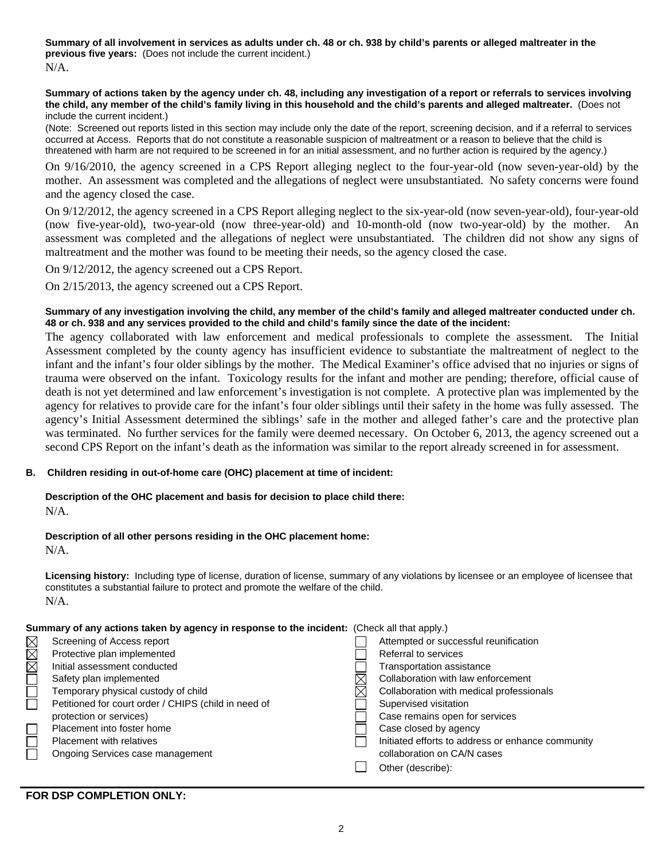**Summary of all involvement in services as adults under ch. 48 or ch. 938 by child's parents or alleged maltreater in the previous five years:** (Does not include the current incident.) N/A.

#### **Summary of actions taken by the agency under ch. 48, including any investigation of a report or referrals to services involving the child, any member of the child's family living in this household and the child's parents and alleged maltreater.** (Does not include the current incident.)

(Note: Screened out reports listed in this section may include only the date of the report, screening decision, and if a referral to services occurred at Access. Reports that do not constitute a reasonable suspicion of maltreatment or a reason to believe that the child is threatened with harm are not required to be screened in for an initial assessment, and no further action is required by the agency.)

On 9/16/2010, the agency screened in a CPS Report alleging neglect to the four-year-old (now seven-year-old) by the mother. An assessment was completed and the allegations of neglect were unsubstantiated. No safety concerns were found and the agency closed the case.

On 9/12/2012, the agency screened in a CPS Report alleging neglect to the six-year-old (now seven-year-old), four-year-old (now five-year-old), two-year-old (now three-year-old) and 10-month-old (now two-year-old) by the mother. An assessment was completed and the allegations of neglect were unsubstantiated. The children did not show any signs of maltreatment and the mother was found to be meeting their needs, so the agency closed the case.

On 9/12/2012, the agency screened out a CPS Report.

On 2/15/2013, the agency screened out a CPS Report.

## **Summary of any investigation involving the child, any member of the child's family and alleged maltreater conducted under ch. 48 or ch. 938 and any services provided to the child and child's family since the date of the incident:**

The agency collaborated with law enforcement and medical professionals to complete the assessment. The Initial Assessment completed by the county agency has insufficient evidence to substantiate the maltreatment of neglect to the infant and the infant's four older siblings by the mother. The Medical Examiner's office advised that no injuries or signs of trauma were observed on the infant. Toxicology results for the infant and mother are pending; therefore, official cause of death is not yet determined and law enforcement's investigation is not complete. A protective plan was implemented by the agency for relatives to provide care for the infant's four older siblings until their safety in the home was fully assessed. The agency's Initial Assessment determined the siblings' safe in the mother and alleged father's care and the protective plan was terminated. No further services for the family were deemed necessary. On October 6, 2013, the agency screened out a second CPS Report on the infant's death as the information was similar to the report already screened in for assessment.

## **B. Children residing in out-of-home care (OHC) placement at time of incident:**

# **Description of the OHC placement and basis for decision to place child there:**

N/A.

## **Description of all other persons residing in the OHC placement home:**

N/A.

**Licensing history:** Including type of license, duration of license, summary of any violations by licensee or an employee of licensee that constitutes a substantial failure to protect and promote the welfare of the child. N/A.

## **Summary of any actions taken by agency in response to the incident:** (Check all that apply.)

|     | Screening of Access report                           | Attempted or successful reunification             |
|-----|------------------------------------------------------|---------------------------------------------------|
| MMM | Protective plan implemented                          | Referral to services                              |
|     | Initial assessment conducted                         | <b>Transportation assistance</b>                  |
|     | Safety plan implemented                              | Collaboration with law enforcement                |
|     | Temporary physical custody of child                  | Collaboration with medical professionals          |
|     | Petitioned for court order / CHIPS (child in need of | Supervised visitation                             |
|     | protection or services)                              | Case remains open for services                    |
|     | Placement into foster home                           | Case closed by agency                             |
|     | Placement with relatives                             | Initiated efforts to address or enhance community |
|     | Ongoing Services case management                     | collaboration on CA/N cases                       |
|     |                                                      | Other (describe):                                 |
|     |                                                      |                                                   |

**FOR DSP COMPLETION ONLY:**